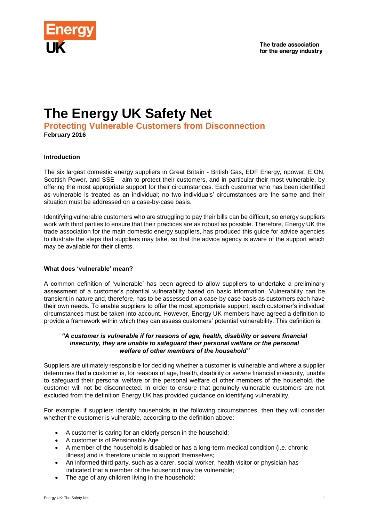

# **The Energy UK Safety Net**

**Protecting Vulnerable Customers from Disconnection February 2016**

# **Introduction**

The six largest domestic energy suppliers in Great Britain - British Gas, EDF Energy, npower, E.ON, Scottish Power, and SSE – aim to protect their customers, and in particular their most vulnerable, by offering the most appropriate support for their circumstances. Each customer who has been identified as vulnerable is treated as an individual; no two individuals' circumstances are the same and their situation must be addressed on a case-by-case basis.

Identifying vulnerable customers who are struggling to pay their bills can be difficult, so energy suppliers work with third parties to ensure that their practices are as robust as possible. Therefore, Energy UK the trade association for the main domestic energy suppliers, has produced this guide for advice agencies to illustrate the steps that suppliers may take, so that the advice agency is aware of the support which may be available for their clients.

### **What does 'vulnerable' mean?**

A common definition of 'vulnerable' has been agreed to allow suppliers to undertake a preliminary assessment of a customer's potential vulnerability based on basic information. Vulnerability can be transient in nature and, therefore, has to be assessed on a case-by-case basis as customers each have their own needs. To enable suppliers to offer the most appropriate support, each customer's individual circumstances must be taken into account. However, Energy UK members have agreed a definition to provide a framework within which they can assess customers' potential vulnerability. This definition is:

#### *"A customer is vulnerable if for reasons of age, health, disability or severe financial insecurity, they are unable to safeguard their personal welfare or the personal welfare of other members of the household"*

Suppliers are ultimately responsible for deciding whether a customer is vulnerable and where a supplier determines that a customer is, for reasons of age, health, disability or severe financial insecurity, unable to safeguard their personal welfare or the personal welfare of other members of the household, the customer will not be disconnected. In order to ensure that genuinely vulnerable customers are not excluded from the definition Energy UK has provided guidance on identifying vulnerability.

For example, if suppliers identify households in the following circumstances, then they will consider whether the customer is vulnerable, according to the definition above:

- A customer is caring for an elderly person in the household;
- A customer is of Pensionable Age
- A member of the household is disabled or has a long-term medical condition (i.e. chronic illness) and is therefore unable to support themselves;
- An informed third party, such as a carer, social worker, health visitor or physician has indicated that a member of the household may be vulnerable;
- The age of any children living in the household;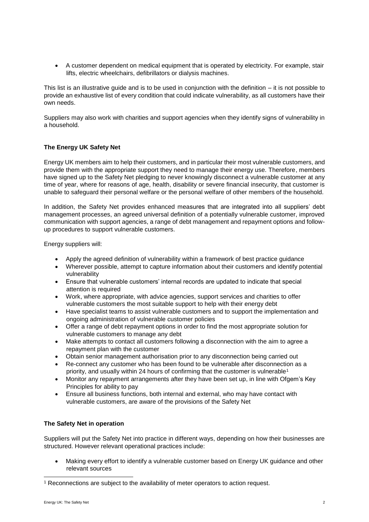A customer dependent on medical equipment that is operated by electricity. For example, stair lifts, electric wheelchairs, defibrillators or dialysis machines.

This list is an illustrative guide and is to be used in conjunction with the definition – it is not possible to provide an exhaustive list of every condition that could indicate vulnerability, as all customers have their own needs.

Suppliers may also work with charities and support agencies when they identify signs of vulnerability in a household.

# **The Energy UK Safety Net**

Energy UK members aim to help their customers, and in particular their most vulnerable customers, and provide them with the appropriate support they need to manage their energy use. Therefore, members have signed up to the Safety Net pledging to never knowingly disconnect a vulnerable customer at any time of year, where for reasons of age, health, disability or severe financial insecurity, that customer is unable to safeguard their personal welfare or the personal welfare of other members of the household.

In addition, the Safety Net provides enhanced measures that are integrated into all suppliers' debt management processes, an agreed universal definition of a potentially vulnerable customer, improved communication with support agencies, a range of debt management and repayment options and followup procedures to support vulnerable customers.

Energy suppliers will:

- Apply the agreed definition of vulnerability within a framework of best practice guidance
- Wherever possible, attempt to capture information about their customers and identify potential vulnerability
- Ensure that vulnerable customers' internal records are updated to indicate that special attention is required
- Work, where appropriate, with advice agencies, support services and charities to offer vulnerable customers the most suitable support to help with their energy debt
- Have specialist teams to assist vulnerable customers and to support the implementation and ongoing administration of vulnerable customer policies
- Offer a range of debt repayment options in order to find the most appropriate solution for vulnerable customers to manage any debt
- Make attempts to contact all customers following a disconnection with the aim to agree a repayment plan with the customer
- Obtain senior management authorisation prior to any disconnection being carried out
- Re-connect any customer who has been found to be vulnerable after disconnection as a priority, and usually within 24 hours of confirming that the customer is vulnerable<sup>1</sup>
- Monitor any repayment arrangements after they have been set up, in line with Ofgem's Key Principles for ability to pay
- Ensure all business functions, both internal and external, who may have contact with vulnerable customers, are aware of the provisions of the Safety Net

# **The Safety Net in operation**

Suppliers will put the Safety Net into practice in different ways, depending on how their businesses are structured. However relevant operational practices include:

 Making every effort to identify a vulnerable customer based on Energy UK guidance and other relevant sources

l

<sup>&</sup>lt;sup>1</sup> Reconnections are subject to the availability of meter operators to action request.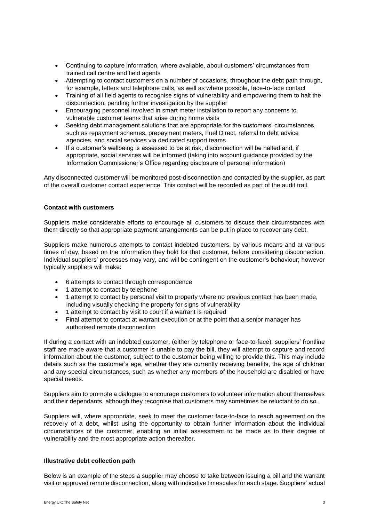- Continuing to capture information, where available, about customers' circumstances from trained call centre and field agents
- Attempting to contact customers on a number of occasions, throughout the debt path through, for example, letters and telephone calls, as well as where possible, face-to-face contact
- Training of all field agents to recognise signs of vulnerability and empowering them to halt the disconnection, pending further investigation by the supplier
- Encouraging personnel involved in smart meter installation to report any concerns to vulnerable customer teams that arise during home visits
- Seeking debt management solutions that are appropriate for the customers' circumstances, such as repayment schemes, prepayment meters, Fuel Direct, referral to debt advice agencies, and social services via dedicated support teams
- If a customer's wellbeing is assessed to be at risk, disconnection will be halted and, if appropriate, social services will be informed (taking into account guidance provided by the Information Commissioner's Office regarding disclosure of personal information)

Any disconnected customer will be monitored post-disconnection and contacted by the supplier, as part of the overall customer contact experience. This contact will be recorded as part of the audit trail.

# **Contact with customers**

Suppliers make considerable efforts to encourage all customers to discuss their circumstances with them directly so that appropriate payment arrangements can be put in place to recover any debt.

Suppliers make numerous attempts to contact indebted customers, by various means and at various times of day, based on the information they hold for that customer, before considering disconnection. Individual suppliers' processes may vary, and will be contingent on the customer's behaviour; however typically suppliers will make:

- 6 attempts to contact through correspondence
- 1 attempt to contact by telephone
- 1 attempt to contact by personal visit to property where no previous contact has been made, including visually checking the property for signs of vulnerability
- 1 attempt to contact by visit to court if a warrant is required
- Final attempt to contact at warrant execution or at the point that a senior manager has authorised remote disconnection

If during a contact with an indebted customer, (either by telephone or face-to-face), suppliers' frontline staff are made aware that a customer is unable to pay the bill, they will attempt to capture and record information about the customer, subject to the customer being willing to provide this. This may include details such as the customer's age, whether they are currently receiving benefits, the age of children and any special circumstances, such as whether any members of the household are disabled or have special needs.

Suppliers aim to promote a dialogue to encourage customers to volunteer information about themselves and their dependants, although they recognise that customers may sometimes be reluctant to do so.

Suppliers will, where appropriate, seek to meet the customer face-to-face to reach agreement on the recovery of a debt, whilst using the opportunity to obtain further information about the individual circumstances of the customer, enabling an initial assessment to be made as to their degree of vulnerability and the most appropriate action thereafter.

#### **Illustrative debt collection path**

Below is an example of the steps a supplier may choose to take between issuing a bill and the warrant visit or approved remote disconnection, along with indicative timescales for each stage. Suppliers' actual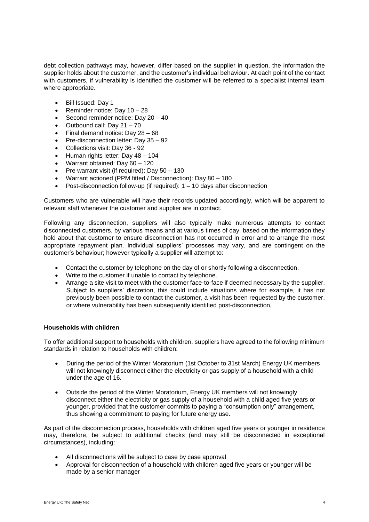debt collection pathways may, however, differ based on the supplier in question, the information the supplier holds about the customer, and the customer's individual behaviour. At each point of the contact with customers, if vulnerability is identified the customer will be referred to a specialist internal team where appropriate.

- Bill Issued: Day 1
- Reminder notice: Day  $10 28$
- Second reminder notice: Day  $20 40$
- $\bullet$  Outbound call: Day 21 70
- $\bullet$  Final demand notice: Day 28 68
- Pre-disconnection letter: Day 35 92
- Collections visit: Day 36 92
- $\bullet$  Human rights letter: Day 48 104
- Warrant obtained: Day 60 120
- Pre warrant visit (if required): Day  $50 130$
- Warrant actioned (PPM fitted / Disconnection): Day 80 180
- Post-disconnection follow-up (if required): 1 10 days after disconnection

Customers who are vulnerable will have their records updated accordingly, which will be apparent to relevant staff whenever the customer and supplier are in contact.

Following any disconnection, suppliers will also typically make numerous attempts to contact disconnected customers, by various means and at various times of day, based on the information they hold about that customer to ensure disconnection has not occurred in error and to arrange the most appropriate repayment plan. Individual suppliers' processes may vary, and are contingent on the customer's behaviour; however typically a supplier will attempt to:

- Contact the customer by telephone on the day of or shortly following a disconnection.
- Write to the customer if unable to contact by telephone.
- Arrange a site visit to meet with the customer face-to-face if deemed necessary by the supplier. Subject to suppliers' discretion, this could include situations where for example, it has not previously been possible to contact the customer, a visit has been requested by the customer, or where vulnerability has been subsequently identified post-disconnection,

#### **Households with children**

To offer additional support to households with children, suppliers have agreed to the following minimum standards in relation to households with children:

- During the period of the Winter Moratorium (1st October to 31st March) Energy UK members will not knowingly disconnect either the electricity or gas supply of a household with a child under the age of 16.
- Outside the period of the Winter Moratorium, Energy UK members will not knowingly disconnect either the electricity or gas supply of a household with a child aged five years or younger, provided that the customer commits to paying a "consumption only" arrangement, thus showing a commitment to paying for future energy use.

As part of the disconnection process, households with children aged five years or younger in residence may, therefore, be subject to additional checks (and may still be disconnected in exceptional circumstances), including:

- All disconnections will be subject to case by case approval
- Approval for disconnection of a household with children aged five years or younger will be made by a senior manager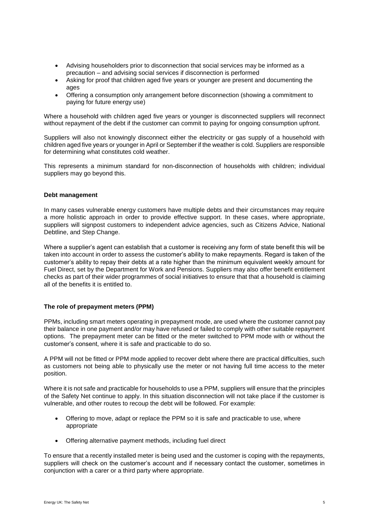- Advising householders prior to disconnection that social services may be informed as a precaution – and advising social services if disconnection is performed
- Asking for proof that children aged five years or younger are present and documenting the ages
- Offering a consumption only arrangement before disconnection (showing a commitment to paying for future energy use)

Where a household with children aged five years or younger is disconnected suppliers will reconnect without repayment of the debt if the customer can commit to paying for ongoing consumption upfront.

Suppliers will also not knowingly disconnect either the electricity or gas supply of a household with children aged five years or younger in April or September if the weather is cold. Suppliers are responsible for determining what constitutes cold weather.

This represents a minimum standard for non-disconnection of households with children; individual suppliers may go beyond this.

#### **Debt management**

In many cases vulnerable energy customers have multiple debts and their circumstances may require a more holistic approach in order to provide effective support. In these cases, where appropriate, suppliers will signpost customers to independent advice agencies, such as Citizens Advice, National Debtline, and Step Change.

Where a supplier's agent can establish that a customer is receiving any form of state benefit this will be taken into account in order to assess the customer's ability to make repayments. Regard is taken of the customer's ability to repay their debts at a rate higher than the minimum equivalent weekly amount for Fuel Direct, set by the Department for Work and Pensions. Suppliers may also offer benefit entitlement checks as part of their wider programmes of social initiatives to ensure that that a household is claiming all of the benefits it is entitled to.

#### **The role of prepayment meters (PPM)**

PPMs, including smart meters operating in prepayment mode, are used where the customer cannot pay their balance in one payment and/or may have refused or failed to comply with other suitable repayment options. The prepayment meter can be fitted or the meter switched to PPM mode with or without the customer's consent, where it is safe and practicable to do so.

A PPM will not be fitted or PPM mode applied to recover debt where there are practical difficulties, such as customers not being able to physically use the meter or not having full time access to the meter position.

Where it is not safe and practicable for households to use a PPM, suppliers will ensure that the principles of the Safety Net continue to apply. In this situation disconnection will not take place if the customer is vulnerable, and other routes to recoup the debt will be followed. For example:

- Offering to move, adapt or replace the PPM so it is safe and practicable to use, where appropriate
- Offering alternative payment methods, including fuel direct

To ensure that a recently installed meter is being used and the customer is coping with the repayments, suppliers will check on the customer's account and if necessary contact the customer, sometimes in conjunction with a carer or a third party where appropriate.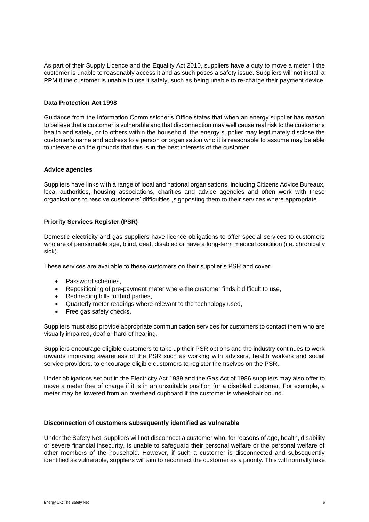As part of their Supply Licence and the Equality Act 2010, suppliers have a duty to move a meter if the customer is unable to reasonably access it and as such poses a safety issue. Suppliers will not install a PPM if the customer is unable to use it safely, such as being unable to re-charge their payment device.

#### **Data Protection Act 1998**

Guidance from the Information Commissioner's Office states that when an energy supplier has reason to believe that a customer is vulnerable and that disconnection may well cause real risk to the customer's health and safety, or to others within the household, the energy supplier may legitimately disclose the customer's name and address to a person or organisation who it is reasonable to assume may be able to intervene on the grounds that this is in the best interests of the customer.

#### **Advice agencies**

Suppliers have links with a range of local and national organisations, including Citizens Advice Bureaux, local authorities, housing associations, charities and advice agencies and often work with these organisations to resolve customers' difficulties ,signposting them to their services where appropriate.

# **Priority Services Register (PSR)**

Domestic electricity and gas suppliers have licence obligations to offer special services to customers who are of pensionable age, blind, deaf, disabled or have a long-term medical condition (i.e. chronically sick).

These services are available to these customers on their supplier's PSR and cover:

- Password schemes,
- Repositioning of pre-payment meter where the customer finds it difficult to use,
- Redirecting bills to third parties,
- Quarterly meter readings where relevant to the technology used,
- Free gas safety checks.

Suppliers must also provide appropriate communication services for customers to contact them who are visually impaired, deaf or hard of hearing.

Suppliers encourage eligible customers to take up their PSR options and the industry continues to work towards improving awareness of the PSR such as working with advisers, health workers and social service providers, to encourage eligible customers to register themselves on the PSR.

Under obligations set out in the Electricity Act 1989 and the Gas Act of 1986 suppliers may also offer to move a meter free of charge if it is in an unsuitable position for a disabled customer. For example, a meter may be lowered from an overhead cupboard if the customer is wheelchair bound.

#### **Disconnection of customers subsequently identified as vulnerable**

Under the Safety Net, suppliers will not disconnect a customer who, for reasons of age, health, disability or severe financial insecurity, is unable to safeguard their personal welfare or the personal welfare of other members of the household. However, if such a customer is disconnected and subsequently identified as vulnerable, suppliers will aim to reconnect the customer as a priority. This will normally take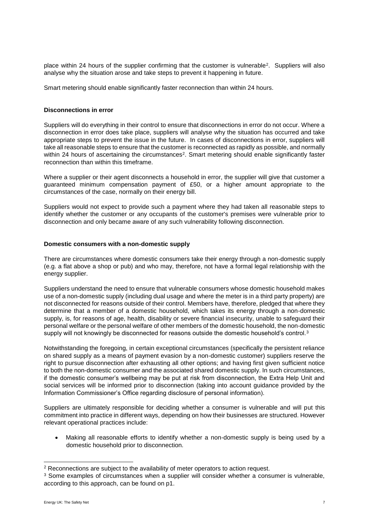place within 24 hours of the supplier confirming that the customer is vulnerable<sup>2</sup> . Suppliers will also analyse why the situation arose and take steps to prevent it happening in future.

Smart metering should enable significantly faster reconnection than within 24 hours.

#### **Disconnections in error**

Suppliers will do everything in their control to ensure that disconnections in error do not occur. Where a disconnection in error does take place, suppliers will analyse why the situation has occurred and take appropriate steps to prevent the issue in the future. In cases of disconnections in error, suppliers will take all reasonable steps to ensure that the customer is reconnected as rapidly as possible, and normally within 24 hours of ascertaining the circumstances<sup>2</sup>. Smart metering should enable significantly faster reconnection than within this timeframe.

Where a supplier or their agent disconnects a household in error, the supplier will give that customer a guaranteed minimum compensation payment of £50, or a higher amount appropriate to the circumstances of the case, normally on their energy bill.

Suppliers would not expect to provide such a payment where they had taken all reasonable steps to identify whether the customer or any occupants of the customer's premises were vulnerable prior to disconnection and only became aware of any such vulnerability following disconnection.

#### **Domestic consumers with a non-domestic supply**

There are circumstances where domestic consumers take their energy through a non-domestic supply (e.g. a flat above a shop or pub) and who may, therefore, not have a formal legal relationship with the energy supplier.

Suppliers understand the need to ensure that vulnerable consumers whose domestic household makes use of a non-domestic supply (including dual usage and where the meter is in a third party property) are not disconnected for reasons outside of their control. Members have, therefore, pledged that where they determine that a member of a domestic household, which takes its energy through a non-domestic supply, is, for reasons of age, health, disability or severe financial insecurity, unable to safeguard their personal welfare or the personal welfare of other members of the domestic household, the non-domestic supply will not knowingly be disconnected for reasons outside the domestic household's control.<sup>3</sup>

Notwithstanding the foregoing, in certain exceptional circumstances (specifically the persistent reliance on shared supply as a means of payment evasion by a non-domestic customer) suppliers reserve the right to pursue disconnection after exhausting all other options; and having first given sufficient notice to both the non-domestic consumer and the associated shared domestic supply. In such circumstances, if the domestic consumer's wellbeing may be put at risk from disconnection, the Extra Help Unit and social services will be informed prior to disconnection (taking into account guidance provided by the Information Commissioner's Office regarding disclosure of personal information).

Suppliers are ultimately responsible for deciding whether a consumer is vulnerable and will put this commitment into practice in different ways, depending on how their businesses are structured. However relevant operational practices include:

 Making all reasonable efforts to identify whether a non-domestic supply is being used by a domestic household prior to disconnection.

l

<sup>2</sup> Reconnections are subject to the availability of meter operators to action request.

<sup>&</sup>lt;sup>3</sup> Some examples of circumstances when a supplier will consider whether a consumer is vulnerable, according to this approach, can be found on p1.